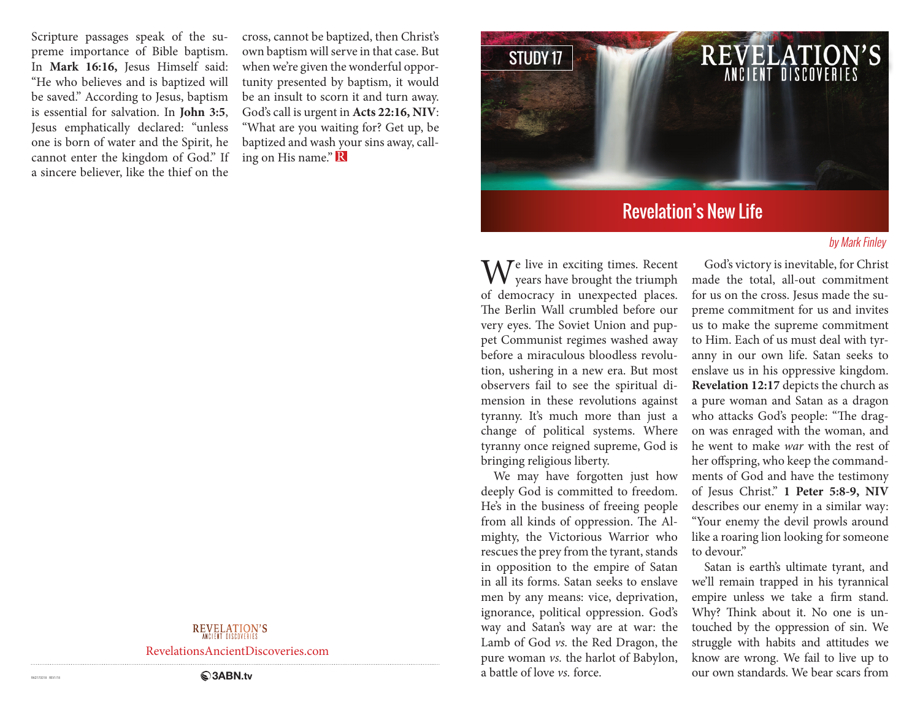Scripture passages speak of the supreme importance of Bible baptism. In **Mark 16:16,** Jesus Himself said: "He who believes and is baptized will be saved." According to Jesus, baptism is essential for salvation. In **John 3:5**, Jesus emphatically declared: "unless one is born of water and the Spirit, he cannot enter the kingdom of God." If a sincere believer, like the thief on the

cross, cannot be baptized, then Christ's own baptism will serve in that case. But when we're given the wonderful opportunity presented by baptism, it would be an insult to scorn it and turn away. God's call is urgent in **Acts 22:16, NIV**: "What are you waiting for? Get up, be baptized and wash your sins away, calling on His name." R



# Revelation's New Life

#### by Mark Finley

We live in exciting times. Recent years have brought the triumph of democracy in unexpected places. The Berlin Wall crumbled before our very eyes. The Soviet Union and puppet Communist regimes washed away before a miraculous bloodless revolution, ushering in a new era. But most observers fail to see the spiritual dimension in these revolutions against tyranny. It's much more than just a change of political systems. Where tyranny once reigned supreme, God is bringing religious liberty.

We may have forgotten just how deeply God is committed to freedom. He's in the business of freeing people from all kinds of oppression. The Almighty, the Victorious Warrior who rescues the prey from the tyrant, stands in opposition to the empire of Satan in all its forms. Satan seeks to enslave men by any means: vice, deprivation, ignorance, political oppression. God's way and Satan's way are at war: the Lamb of God *vs.* the Red Dragon, the pure woman *vs.* the harlot of Babylon, a battle of love *vs.* force.

God's victory is inevitable, for Christ made the total, all-out commitment for us on the cross. Jesus made the supreme commitment for us and invites us to make the supreme commitment to Him. Each of us must deal with tyranny in our own life. Satan seeks to enslave us in his oppressive kingdom. **Revelation 12:17** depicts the church as a pure woman and Satan as a dragon who attacks God's people: "The dragon was enraged with the woman, and he went to make *war* with the rest of her offspring, who keep the commandments of God and have the testimony of Jesus Christ." **1 Peter 5:8-9, NIV**  describes our enemy in a similar way: "Your enemy the devil prowls around like a roaring lion looking for someone to devour."

Satan is earth's ultimate tyrant, and we'll remain trapped in his tyrannical empire unless we take a firm stand. Why? Think about it. No one is untouched by the oppression of sin. We struggle with habits and attitudes we know are wrong. We fail to live up to our own standards. We bear scars from

REVELATION'S

RevelationsAncientDiscoveries.com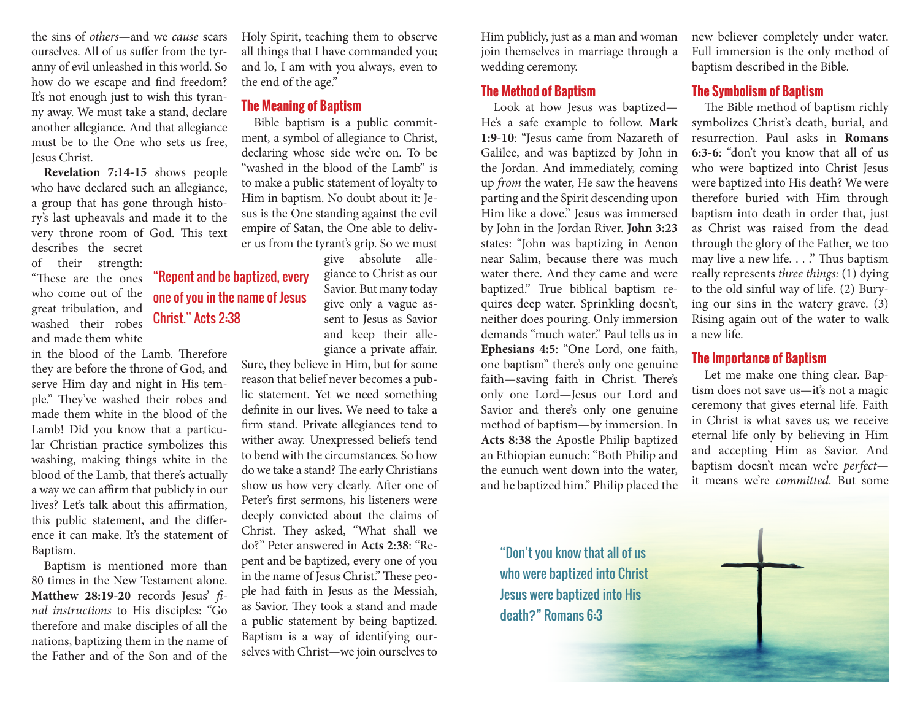the sins of *others*—and we *cause* scars ourselves. All of us suffer from the tyranny of evil unleashed in this world. So how do we escape and find freedom? It's not enough just to wish this tyranny away. We must take a stand, declare another allegiance. And that allegiance must be to the One who sets us free, Jesus Christ.

**Revelation 7:14-15** shows people who have declared such an allegiance, a group that has gone through history's last upheavals and made it to the very throne room of God. This text describes the secret

of their strength: "These are the ones who come out of the great tribulation, and washed their robes and made them white

in the blood of the Lamb. Therefore they are before the throne of God, and serve Him day and night in His temple." They've washed their robes and made them white in the blood of the Lamb! Did you know that a particular Christian practice symbolizes this washing, making things white in the blood of the Lamb, that there's actually a way we can affirm that publicly in our lives? Let's talk about this affirmation, this public statement, and the difference it can make. It's the statement of Baptism.

Baptism is mentioned more than 80 times in the New Testament alone. **Matthew 28:19-20** records Jesus' *final instructions* to His disciples: "Go therefore and make disciples of all the nations, baptizing them in the name of the Father and of the Son and of the Holy Spirit, teaching them to observe all things that I have commanded you; and lo, I am with you always, even to the end of the age."

#### **The Meaning of Baptism**

Bible baptism is a public commitment, a symbol of allegiance to Christ, declaring whose side we're on. To be "washed in the blood of the Lamb" is to make a public statement of loyalty to Him in baptism. No doubt about it: Jesus is the One standing against the evil empire of Satan, the One able to deliver us from the tyrant's grip. So we must

give absolute allegiance to Christ as our Savior. But many today

give only a vague assent to Jesus as Savior and keep their allegiance a private affair.

Sure, they believe in Him, but for some reason that belief never becomes a public statement. Yet we need something definite in our lives. We need to take a firm stand. Private allegiances tend to wither away. Unexpressed beliefs tend to bend with the circumstances. So how do we take a stand? The early Christians show us how very clearly. After one of Peter's first sermons, his listeners were deeply convicted about the claims of Christ. They asked, "What shall we do?" Peter answered in **Acts 2:38**: "Repent and be baptized, every one of you in the name of Jesus Christ." These people had faith in Jesus as the Messiah, as Savior. They took a stand and made a public statement by being baptized. Baptism is a way of identifying ourselves with Christ—we join ourselves to

Him publicly, just as a man and woman join themselves in marriage through a wedding ceremony.

### **The Method of Baptism**

Look at how Jesus was baptized— He's a safe example to follow. **Mark 1:9-10**: "Jesus came from Nazareth of Galilee, and was baptized by John in the Jordan. And immediately, coming up *from* the water, He saw the heavens parting and the Spirit descending upon Him like a dove." Jesus was immersed by John in the Jordan River. **John 3:23**  states: "John was baptizing in Aenon near Salim, because there was much water there. And they came and were baptized." True biblical baptism requires deep water. Sprinkling doesn't, neither does pouring. Only immersion demands "much water." Paul tells us in **Ephesians 4:5**: "One Lord, one faith, one baptism" there's only one genuine faith—saving faith in Christ. There's only one Lord—Jesus our Lord and Savior and there's only one genuine method of baptism—by immersion. In **Acts 8:38** the Apostle Philip baptized an Ethiopian eunuch: "Both Philip and the eunuch went down into the water, and he baptized him." Philip placed the

"Don't you know that all of us who were baptized into Christ Jesus were baptized into His death?" Romans 6:3

new believer completely under water. Full immersion is the only method of baptism described in the Bible.

#### **The Symbolism of Baptism**

The Bible method of baptism richly symbolizes Christ's death, burial, and resurrection. Paul asks in **Romans 6:3-6**: "don't you know that all of us who were baptized into Christ Jesus were baptized into His death? We were therefore buried with Him through baptism into death in order that, just as Christ was raised from the dead through the glory of the Father, we too may live a new life. . . ." Thus baptism really represents *three things:* (1) dying to the old sinful way of life. (2) Burying our sins in the watery grave. (3) Rising again out of the water to walk a new life.

### **The Importance of Baptism**

Let me make one thing clear. Baptism does not save us—it's not a magic ceremony that gives eternal life. Faith in Christ is what saves us; we receive eternal life only by believing in Him and accepting Him as Savior. And baptism doesn't mean we're *perfect* it means we're *committed*. But some



## "Repent and be baptized, every one of you in the name of Jesus Christ." Acts 2:38